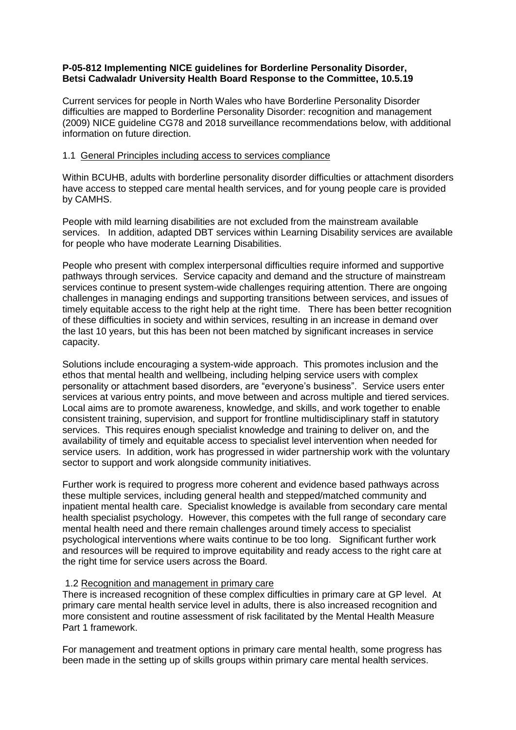# **P-05-812 Implementing NICE guidelines for Borderline Personality Disorder, Betsi Cadwaladr University Health Board Response to the Committee, 10.5.19**

Current services for people in North Wales who have Borderline Personality Disorder difficulties are mapped to Borderline Personality Disorder: recognition and management (2009) NICE guideline CG78 and 2018 surveillance recommendations below, with additional information on future direction.

### 1.1 General Principles including access to services compliance

Within BCUHB, adults with borderline personality disorder difficulties or attachment disorders have access to stepped care mental health services, and for young people care is provided by CAMHS.

People with mild learning disabilities are not excluded from the mainstream available services. In addition, adapted DBT services within Learning Disability services are available for people who have moderate Learning Disabilities.

People who present with complex interpersonal difficulties require informed and supportive pathways through services. Service capacity and demand and the structure of mainstream services continue to present system-wide challenges requiring attention. There are ongoing challenges in managing endings and supporting transitions between services, and issues of timely equitable access to the right help at the right time. There has been better recognition of these difficulties in society and within services, resulting in an increase in demand over the last 10 years, but this has been not been matched by significant increases in service capacity.

Solutions include encouraging a system-wide approach. This promotes inclusion and the ethos that mental health and wellbeing, including helping service users with complex personality or attachment based disorders, are "everyone's business". Service users enter services at various entry points, and move between and across multiple and tiered services. Local aims are to promote awareness, knowledge, and skills, and work together to enable consistent training, supervision, and support for frontline multidisciplinary staff in statutory services. This requires enough specialist knowledge and training to deliver on, and the availability of timely and equitable access to specialist level intervention when needed for service users. In addition, work has progressed in wider partnership work with the voluntary sector to support and work alongside community initiatives.

Further work is required to progress more coherent and evidence based pathways across these multiple services, including general health and stepped/matched community and inpatient mental health care. Specialist knowledge is available from secondary care mental health specialist psychology. However, this competes with the full range of secondary care mental health need and there remain challenges around timely access to specialist psychological interventions where waits continue to be too long. Significant further work and resources will be required to improve equitability and ready access to the right care at the right time for service users across the Board.

### 1.2 Recognition and management in primary care

There is increased recognition of these complex difficulties in primary care at GP level. At primary care mental health service level in adults, there is also increased recognition and more consistent and routine assessment of risk facilitated by the Mental Health Measure Part 1 framework.

For management and treatment options in primary care mental health, some progress has been made in the setting up of skills groups within primary care mental health services.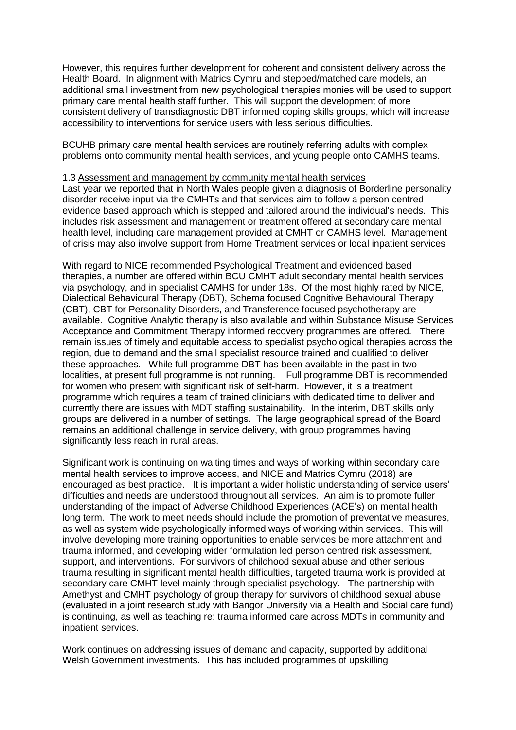However, this requires further development for coherent and consistent delivery across the Health Board. In alignment with Matrics Cymru and stepped/matched care models, an additional small investment from new psychological therapies monies will be used to support primary care mental health staff further. This will support the development of more consistent delivery of transdiagnostic DBT informed coping skills groups, which will increase accessibility to interventions for service users with less serious difficulties.

BCUHB primary care mental health services are routinely referring adults with complex problems onto community mental health services, and young people onto CAMHS teams.

#### 1.3 Assessment and management by community mental health services

Last year we reported that in North Wales people given a diagnosis of Borderline personality disorder receive input via the CMHTs and that services aim to follow a person centred evidence based approach which is stepped and tailored around the individual's needs. This includes risk assessment and management or treatment offered at secondary care mental health level, including care management provided at CMHT or CAMHS level. Management of crisis may also involve support from Home Treatment services or local inpatient services

With regard to NICE recommended Psychological Treatment and evidenced based therapies, a number are offered within BCU CMHT adult secondary mental health services via psychology, and in specialist CAMHS for under 18s. Of the most highly rated by NICE, Dialectical Behavioural Therapy (DBT), Schema focused Cognitive Behavioural Therapy (CBT), CBT for Personality Disorders, and Transference focused psychotherapy are available. Cognitive Analytic therapy is also available and within Substance Misuse Services Acceptance and Commitment Therapy informed recovery programmes are offered. There remain issues of timely and equitable access to specialist psychological therapies across the region, due to demand and the small specialist resource trained and qualified to deliver these approaches. While full programme DBT has been available in the past in two localities, at present full programme is not running. Full programme DBT is recommended for women who present with significant risk of self-harm. However, it is a treatment programme which requires a team of trained clinicians with dedicated time to deliver and currently there are issues with MDT staffing sustainability. In the interim, DBT skills only groups are delivered in a number of settings. The large geographical spread of the Board remains an additional challenge in service delivery, with group programmes having significantly less reach in rural areas.

Significant work is continuing on waiting times and ways of working within secondary care mental health services to improve access, and NICE and Matrics Cymru (2018) are encouraged as best practice. It is important a wider holistic understanding of service users' difficulties and needs are understood throughout all services. An aim is to promote fuller understanding of the impact of Adverse Childhood Experiences (ACE's) on mental health long term. The work to meet needs should include the promotion of preventative measures, as well as system wide psychologically informed ways of working within services. This will involve developing more training opportunities to enable services be more attachment and trauma informed, and developing wider formulation led person centred risk assessment, support, and interventions. For survivors of childhood sexual abuse and other serious trauma resulting in significant mental health difficulties, targeted trauma work is provided at secondary care CMHT level mainly through specialist psychology. The partnership with Amethyst and CMHT psychology of group therapy for survivors of childhood sexual abuse (evaluated in a joint research study with Bangor University via a Health and Social care fund) is continuing, as well as teaching re: trauma informed care across MDTs in community and inpatient services.

Work continues on addressing issues of demand and capacity, supported by additional Welsh Government investments. This has included programmes of upskilling